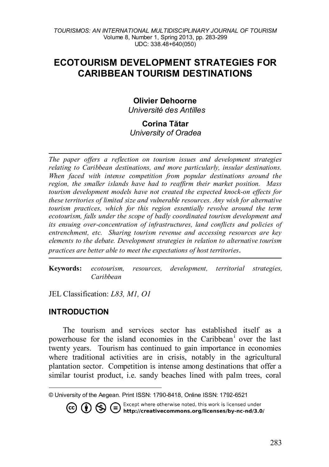# **ECOTOURISM DEVELOPMENT STRATEGIES FOR CARIBBEAN TOURISM DESTINATIONS**

### **Olivier Dehoorne[1](#page-0-0)**

*Université des Antilles*

### **Corina Tătar** *University of Oradea*

*The paper offers a reflection on tourism issues and development strategies relating to Caribbean destinations, and more particularly, insular destinations. When faced with intense competition from popular destinations around the region, the smaller islands have had to reaffirm their market position. Mass tourism development models have not created the expected knock-on effects for these territories of limited size and vulnerable resources. Any wish for alternative tourism practices, which for this region essentially revolve around the term ecotourism, falls under the scope of badly coordinated tourism development and its ensuing over-concentration of infrastructures, land conflicts and policies of entrenchment, etc. Sharing tourism revenue and accessing resources are key elements to the debate. Development strategies in relation to alternative tourism practices are better able to meet the expectations of host territories*.

**Keywords:** *ecotourism, resources, development, territorial strategies, Caribbean*

JEL Classification: *L83, M1, O1*

### **INTRODUCTION**

The tourism and services sector has established itself as a powerhouse for the [i](#page-16-0)sland economies in the Caribbean<sup>i</sup> over the last twenty years. Tourism has continued to gain importance in economies where traditional activities are in crisis, notably in the agricultural plantation sector. Competition is intense among destinations that offer a similar tourist product, i.e. sandy beaches lined with palm trees, coral

**CO (b)**  $\bigoplus$  Except where otherwise noted, this work is licensed under http://creativecommons.org/licenses/by-nc-nd/3.0/

<span id="page-0-0"></span> $\overline{a}$ © University of the Aegean. Print ISSN: 1790-8418, Online ISSN: 1792-6521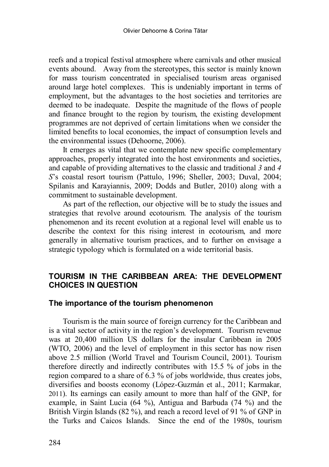reefs and a tropical festival atmosphere where carnivals and other musical events abound. Away from the stereotypes, this sector is mainly known for mass tourism concentrated in specialised tourism areas organised around large hotel complexes. This is undeniably important in terms of employment, but the advantages to the host societies and territories are deemed to be inadequate. Despite the magnitude of the flows of people and finance brought to the region by tourism, the existing development programmes are not deprived of certain limitations when we consider the limited benefits to local economies, the impact of consumption levels and the environmental issues (Dehoorne, 2006).

It emerges as vital that we contemplate new specific complementary approaches, properly integrated into the host environments and societies, and capable of providing alternatives to the classic and traditional *3* and *4 S*'s coastal resort tourism (Pattulo, 1996; Sheller, 2003; Duval, 2004; Spilanis and Karayiannis, 2009; Dodds and Butler, 2010) along with a commitment to sustainable development.

As part of the reflection, our objective will be to study the issues and strategies that revolve around ecotourism. The analysis of the tourism phenomenon and its recent evolution at a regional level will enable us to describe the context for this rising interest in ecotourism, and more generally in alternative tourism practices, and to further on envisage a strategic typology which is formulated on a wide territorial basis.

# **TOURISM IN THE CARIBBEAN AREA: THE DEVELOPMENT CHOICES IN QUESTION**

### **The importance of the tourism phenomenon**

Tourism is the main source of foreign currency for the Caribbean and is a vital sector of activity in the region's development. Tourism revenue was at 20,400 million US dollars for the insular Caribbean in 2005 (WTO, 2006) and the level of employment in this sector has now risen above 2.5 million (World Travel and Tourism Council, 2001). Tourism therefore directly and indirectly contributes with 15.5 % of jobs in the region compared to a share of 6.3 % of jobs worldwide, thus creates jobs, diversifies and boosts economy (López-Guzmán et al., 2011; Karmakar, 2011). Its earnings can easily amount to more than half of the GNP, for example, in Saint Lucia (64 %), Antigua and Barbuda (74 %) and the British Virgin Islands (82 %), and reach a record level of 91 % of GNP in the Turks and Caicos Islands. Since the end of the 1980s, tourism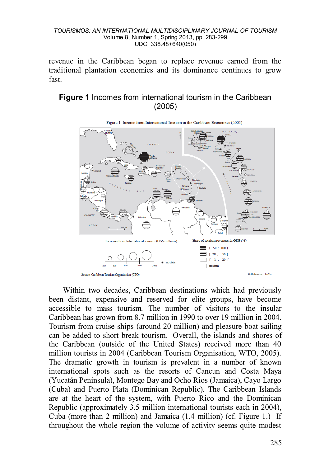revenue in the Caribbean began to replace revenue earned from the traditional plantation economies and its dominance continues to grow fast.

# **Figure 1** Incomes from international tourism in the Caribbean (2005)



Within two decades, Caribbean destinations which had previously been distant, expensive and reserved for elite groups, have become accessible to mass tourism. The number of visitors to the insular Caribbean has grown from 8.7 million in 1990 to over 19 million in 2004. Tourism from cruise ships (around 20 million) and pleasure boat sailing can be added to short break tourism. Overall, the islands and shores of the Caribbean (outside of the United States) received more than 40 million tourists in 2004 (Caribbean Tourism Organisation, WTO, 2005). The dramatic growth in tourism is prevalent in a number of known international spots such as the resorts of Cancun and Costa Maya (Yucatán Peninsula), Montego Bay and Ocho Rios (Jamaica), Cayo Largo (Cuba) and Puerto Plata (Dominican Republic). The Caribbean Islands are at the heart of the system, with Puerto Rico and the Dominican Republic (approximately 3.5 million international tourists each in 2004), Cuba (more than 2 million) and Jamaica (1.4 million) (cf. Figure 1.) If throughout the whole region the volume of activity seems quite modest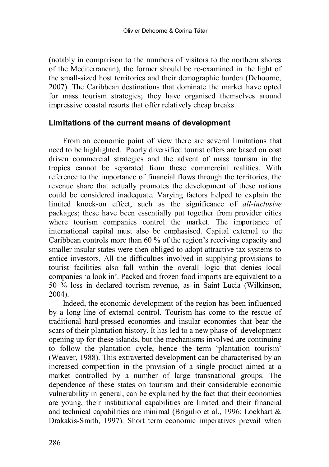(notably in comparison to the numbers of visitors to the northern shores of the Mediterranean), the former should be re-examined in the light of the small-sized host territories and their demographic burden (Dehoorne, 2007). The Caribbean destinations that dominate the market have opted for mass tourism strategies; they have organised themselves around impressive coastal resorts that offer relatively cheap breaks.

### **Limitations of the current means of development**

From an economic point of view there are several limitations that need to be highlighted. Poorly diversified tourist offers are based on cost driven commercial strategies and the advent of mass tourism in the tropics cannot be separated from these commercial realities. With reference to the importance of financial flows through the territories, the revenue share that actually promotes the development of these nations could be considered inadequate. Varying factors helped to explain the limited knock-on effect, such as the significance of *all-inclusive* packages; these have been essentially put together from provider cities where tourism companies control the market. The importance of international capital must also be emphasised. Capital external to the Caribbean controls more than 60 % of the region's receiving capacity and smaller insular states were then obliged to adopt attractive tax systems to entice investors. All the difficulties involved in supplying provisions to tourist facilities also fall within the overall logic that denies local companies 'a look in'. Packed and frozen food imports are equivalent to a 50 % loss in declared tourism revenue, as in Saint Lucia (Wilkinson, 2004).

Indeed, the economic development of the region has been influenced by a long line of external control. Tourism has come to the rescue of traditional hard-pressed economies and insular economies that bear the scars of their plantation history. It has led to a new phase of development opening up for these islands, but the mechanisms involved are continuing to follow the plantation cycle, hence the term 'plantation tourism' (Weaver, 1988). This extraverted development can be characterised by an increased competition in the provision of a single product aimed at a market controlled by a number of large transnational groups. The dependence of these states on tourism and their considerable economic vulnerability in general, can be explained by the fact that their economies are young, their institutional capabilities are limited and their financial and technical capabilities are minimal (Brigulio et al., 1996; Lockhart & Drakakis-Smith, 1997). Short term economic imperatives prevail when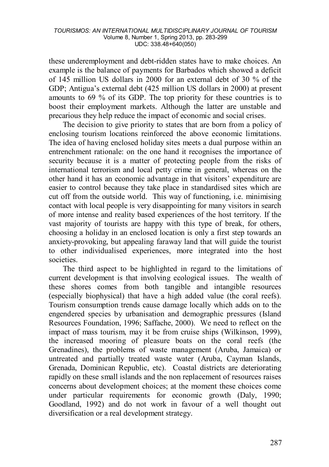these underemployment and debt-ridden states have to make choices. An example is the balance of payments for Barbados which showed a deficit of 145 million US dollars in 2000 for an external debt of 30 % of the GDP; Antigua's external debt (425 million US dollars in 2000) at present amounts to 69 % of its GDP. The top priority for these countries is to boost their employment markets. Although the latter are unstable and precarious they help reduce the impact of economic and social crises.

The decision to give priority to states that are born from a policy of enclosing tourism locations reinforced the above economic limitations. The idea of having enclosed holiday sites meets a dual purpose within an entrenchment rationale: on the one hand it recognises the importance of security because it is a matter of protecting people from the risks of international terrorism and local petty crime in general, whereas on the other hand it has an economic advantage in that visitors' expenditure are easier to control because they take place in standardised sites which are cut off from the outside world. This way of functioning, i.e. minimising contact with local people is very disappointing for many visitors in search of more intense and reality based experiences of the host territory. If the vast majority of tourists are happy with this type of break, for others, choosing a holiday in an enclosed location is only a first step towards an anxiety-provoking, but appealing faraway land that will guide the tourist to other individualised experiences, more integrated into the host societies.

The third aspect to be highlighted in regard to the limitations of current development is that involving ecological issues. The wealth of these shores comes from both tangible and intangible resources (especially biophysical) that have a high added value (the coral reefs). Tourism consumption trends cause damage locally which adds on to the engendered species by urbanisation and demographic pressures (Island Resources Foundation, 1996; Saffache, 2000). We need to reflect on the impact of mass tourism, may it be from cruise ships (Wilkinson, 1999), the increased mooring of pleasure boats on the coral reefs (the Grenadines), the problems of waste management (Aruba, Jamaica) or untreated and partially treated waste water (Aruba, Cayman Islands, Grenada, Dominican Republic, etc). Coastal districts are deteriorating rapidly on these small islands and the non replacement of resources raises concerns about development choices; at the moment these choices come under particular requirements for economic growth (Daly, 1990; Goodland, 1992) and do not work in favour of a well thought out diversification or a real development strategy.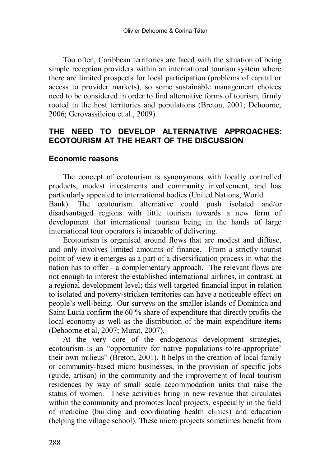Too often, Caribbean territories are faced with the situation of being simple reception providers within an international tourism system where there are limited prospects for local participation (problems of capital or access to provider markets), so some sustainable management choices need to be considered in order to find alternative forms of tourism, firmly rooted in the host territories and populations (Breton, 2001; Dehoorne, 2006; Gerovassileiou et al., 2009).

# **THE NEED TO DEVELOP ALTERNATIVE APPROACHES: ECOTOURISM AT THE HEART OF THE DISCUSSION**

### **Economic reasons**

The concept of ecotourism is synonymous with locally controlled products, modest investments and community involvement, and has particularly appealed to international bodies (United Nations, World Bank). The ecotourism alternative could push isolated and/or disadvantaged regions with little tourism towards a new form of development that international tourism being in the hands of large international tour operators is incapable of delivering.

Ecotourism is organised around flows that are modest and diffuse, and only involves limited amounts of finance. From a strictly tourist point of view it emerges as a part of a diversification process in what the nation has to offer - a complementary approach. The relevant flows are not enough to interest the established international airlines, in contrast, at a regional development level; this well targeted financial input in relation to isolated and poverty-stricken territories can have a noticeable effect on people's well-being. Our surveys on the smaller islands of Dominica and Saint Lucia confirm the 60 % share of expenditure that directly profits the local economy as well as the distribution of the main expenditure items (Dehoorne et al, 2007; Murat, 2007).

At the very core of the endogenous development strategies, ecotourism is an "opportunity for native populations to're-appropriate' their own milieus" (Breton, 2001). It helps in the creation of local family or community-based micro businesses, in the provision of specific jobs (guide, artisan) in the community and the improvement of local tourism residences by way of small scale accommodation units that raise the status of women. These activities bring in new revenue that circulates within the community and promotes local projects, especially in the field of medicine (building and coordinating health clinics) and education (helping the village school). These micro projects sometimes benefit from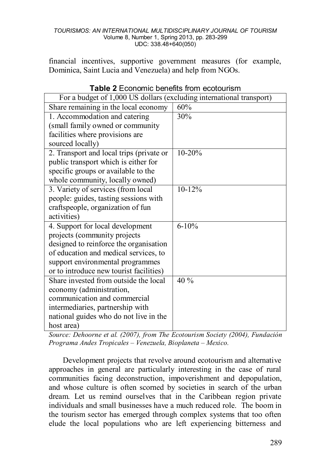financial incentives, supportive government measures (for example, Dominica, Saint Lucia and Venezuela) and help from NGOs.

| For a budget of 1,000 US dollars (excluding international transport) |            |  |
|----------------------------------------------------------------------|------------|--|
| Share remaining in the local economy                                 | 60%        |  |
| 1. Accommodation and catering                                        | 30%        |  |
| (small family owned or community                                     |            |  |
| facilities where provisions are                                      |            |  |
| sourced locally)                                                     |            |  |
| 2. Transport and local trips (private or                             | $10-20%$   |  |
| public transport which is either for                                 |            |  |
| specific groups or available to the                                  |            |  |
| whole community, locally owned)                                      |            |  |
| 3. Variety of services (from local                                   | $10 - 12%$ |  |
| people: guides, tasting sessions with                                |            |  |
| craftspeople, organization of fun                                    |            |  |
| activities)                                                          |            |  |
| 4. Support for local development                                     | $6 - 10%$  |  |
| projects (community projects                                         |            |  |
| designed to reinforce the organisation                               |            |  |
| of education and medical services, to                                |            |  |
| support environmental programmes                                     |            |  |
| or to introduce new tourist facilities)                              |            |  |
| Share invested from outside the local                                | 40 %       |  |
| economy (administration,                                             |            |  |
| communication and commercial                                         |            |  |
| intermediaries, partnership with                                     |            |  |
| national guides who do not live in the                               |            |  |
| host area)                                                           |            |  |

**Table 2** Economic benefits from ecotourism

*Source: Dehoorne et al. (2007), from The Ecotourism Society (2004), Fundación Programa Andes Tropicales – Venezuela, Bioplaneta – Mexico.*

Development projects that revolve around ecotourism and alternative approaches in general are particularly interesting in the case of rural communities facing deconstruction, impoverishment and depopulation, and whose culture is often scorned by societies in search of the urban dream. Let us remind ourselves that in the Caribbean region private individuals and small businesses have a much reduced role. The boom in the tourism sector has emerged through complex systems that too often elude the local populations who are left experiencing bitterness and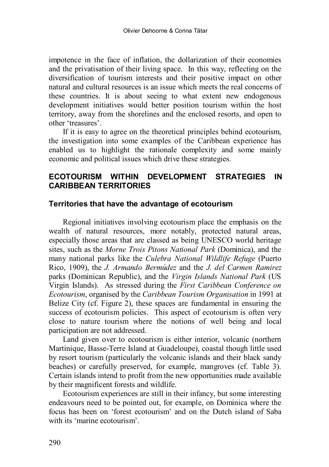impotence in the face of inflation, the dollarization of their economies and the privatisation of their living space. In this way, reflecting on the diversification of tourism interests and their positive impact on other natural and cultural resources is an issue which meets the real concerns of these countries. It is about seeing to what extent new endogenous development initiatives would better position tourism within the host territory, away from the shorelines and the enclosed resorts, and open to other 'treasures'.

If it is easy to agree on the theoretical principles behind ecotourism, the investigation into some examples of the Caribbean experience has enabled us to highlight the rationale complexity and some mainly economic and political issues which drive these strategies.

# **ECOTOURISM WITHIN DEVELOPMENT STRATEGIES IN CARIBBEAN TERRITORIES**

### **Territories that have the advantage of ecotourism**

Regional initiatives involving ecotourism place the emphasis on the wealth of natural resources, more notably, protected natural areas, especially those areas that are classed as being UNESCO world heritage sites, such as the *Morne Trois Pitons National Park* (Dominica), and the many national parks like the *Culebra National Wildlife Refuge* (Puerto Rico, 1909), the *J. Armando Bermúdez* and the *J. del Carmen Ramirez* parks (Dominican Republic), and the *Virgin Islands National Park* (US Virgin Islands). As stressed during the *First Caribbean Conference on Ecotourism*, organised by the *Caribbean Tourism Organisation* in 1991 at Belize City (cf. Figure 2), these spaces are fundamental in ensuring the success of ecotourism policies. This aspect of ecotourism is often very close to nature tourism where the notions of well being and local participation are not addressed.

Land given over to ecotourism is either interior, volcanic (northern Martinique, Basse-Terre Island at Guadeloupe), coastal though little used by resort tourism (particularly the volcanic islands and their black sandy beaches) or carefully preserved, for example, mangroves (cf. Table 3). Certain islands intend to profit from the new opportunities made available by their magnificent forests and wildlife.

Ecotourism experiences are still in their infancy, but some interesting endeavours need to be pointed out, for example, on Dominica where the focus has been on 'forest ecotourism' and on the Dutch island of Saba with its 'marine ecotourism'.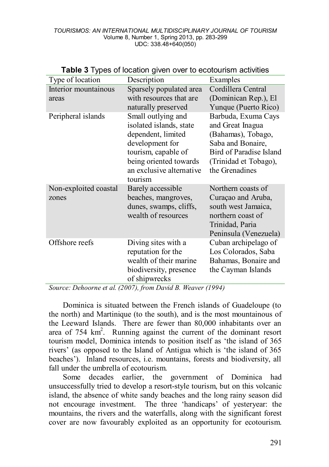| <b>TWO COMPOSED INTO A REPORT OF CONSUMING AND CONSUMING</b> |                                                                                                                                                                                |                                                                                                                                                          |
|--------------------------------------------------------------|--------------------------------------------------------------------------------------------------------------------------------------------------------------------------------|----------------------------------------------------------------------------------------------------------------------------------------------------------|
| Type of location                                             | Description                                                                                                                                                                    | Examples                                                                                                                                                 |
| Interior mountainous<br>areas                                | Sparsely populated area<br>with resources that are<br>naturally preserved                                                                                                      | Cordillera Central<br>(Dominican Rep.), El<br>Yunque (Puerto Rico)                                                                                       |
| Peripheral islands                                           | Small outlying and<br>isolated islands, state<br>dependent, limited<br>development for<br>tourism, capable of<br>being oriented towards<br>an exclusive alternative<br>tourism | Barbuda, Exuma Cays<br>and Great Inagua<br>(Bahamas), Tobago,<br>Saba and Bonaire,<br>Bird of Paradise Island<br>(Trinidad et Tobago),<br>the Grenadines |
| Non-exploited coastal<br>zones                               | Barely accessible<br>beaches, mangroves,<br>dunes, swamps, cliffs,<br>wealth of resources                                                                                      | Northern coasts of<br>Curaçao and Aruba,<br>south west Jamaica,<br>northern coast of<br>Trinidad, Paria<br>Peninsula (Venezuela)                         |
| Offshore reefs                                               | Diving sites with a<br>reputation for the<br>wealth of their marine<br>biodiversity, presence<br>of shipwrecks                                                                 | Cuban archipelago of<br>Los Colorados, Saba<br>Bahamas, Bonaire and<br>the Cayman Islands                                                                |

### **Table 3** Types of location given over to ecotourism activities

*Source: Dehoorne et al. (2007), from David B. Weaver (1994)* 

Dominica is situated between the French islands of Guadeloupe (to the north) and Martinique (to the south), and is the most mountainous of the Leeward Islands. There are fewer than 80,000 inhabitants over an area of  $754 \text{ km}^2$ . Running against the current of the dominant resort tourism model, Dominica intends to position itself as 'the island of 365 rivers' (as opposed to the Island of Antigua which is 'the island of 365 beaches'). Inland resources, i.e. mountains, forests and biodiversity, all fall under the umbrella of ecotourism.

Some decades earlier, the government of Dominica had unsuccessfully tried to develop a resort-style tourism, but on this volcanic island, the absence of white sandy beaches and the long rainy season did not encourage investment. The three 'handicaps' of yesteryear: the mountains, the rivers and the waterfalls, along with the significant forest cover are now favourably exploited as an opportunity for ecotourism.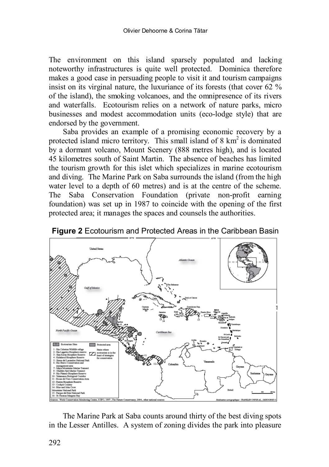The environment on this island sparsely populated and lacking noteworthy infrastructures is quite well protected. Dominica therefore makes a good case in persuading people to visit it and tourism campaigns insist on its virginal nature, the luxuriance of its forests (that cover  $62\%$ ) of the island), the smoking volcanoes, and the omnipresence of its rivers and waterfalls. Ecotourism relies on a network of nature parks, micro businesses and modest accommodation units (eco-lodge style) that are endorsed by the government.

Saba provides an example of a promising economic recovery by a protected island micro territory. This small island of  $8 \text{ km}^2$  is dominated by a dormant volcano, Mount Scenery (888 metres high), and is located 45 kilometres south of Saint Martin. The absence of beaches has limited the tourism growth for this islet which specializes in marine ecotourism and diving. The Marine Park on Saba surrounds the island (from the high water level to a depth of 60 metres) and is at the centre of the scheme. The Saba Conservation Foundation (private non-profit earning foundation) was set up in 1987 to coincide with the opening of the first protected area; it manages the spaces and counsels the authorities.



**Figure 2** Ecotourism and Protected Areas in the Caribbean Basin

The Marine Park at Saba counts around thirty of the best diving spots in the Lesser Antilles. A system of zoning divides the park into pleasure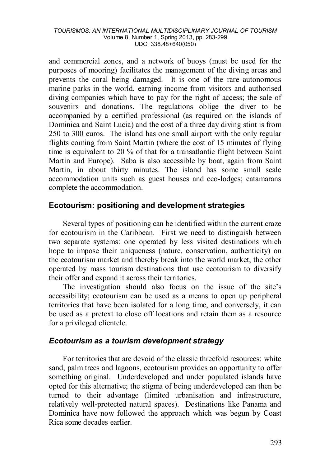and commercial zones, and a network of buoys (must be used for the purposes of mooring) facilitates the management of the diving areas and prevents the coral being damaged. It is one of the rare autonomous marine parks in the world, earning income from visitors and authorised diving companies which have to pay for the right of access; the sale of souvenirs and donations. The regulations oblige the diver to be accompanied by a certified professional (as required on the islands of Dominica and Saint Lucia) and the cost of a three day diving stint is from 250 to 300 euros. The island has one small airport with the only regular flights coming from Saint Martin (where the cost of 15 minutes of flying time is equivalent to 20 % of that for a transatlantic flight between Saint Martin and Europe). Saba is also accessible by boat, again from Saint Martin, in about thirty minutes. The island has some small scale accommodation units such as guest houses and eco-lodges; catamarans complete the accommodation.

# **Ecotourism: positioning and development strategies**

Several types of positioning can be identified within the current craze for ecotourism in the Caribbean. First we need to distinguish between two separate systems: one operated by less visited destinations which hope to impose their uniqueness (nature, conservation, authenticity) on the ecotourism market and thereby break into the world market, the other operated by mass tourism destinations that use ecotourism to diversify their offer and expand it across their territories.

The investigation should also focus on the issue of the site's accessibility; ecotourism can be used as a means to open up peripheral territories that have been isolated for a long time, and conversely, it can be used as a pretext to close off locations and retain them as a resource for a privileged clientele.

# *Ecotourism as a tourism development strategy*

For territories that are devoid of the classic threefold resources: white sand, palm trees and lagoons, ecotourism provides an opportunity to offer something original. Underdeveloped and under populated islands have opted for this alternative; the stigma of being underdeveloped can then be turned to their advantage (limited urbanisation and infrastructure, relatively well-protected natural spaces). Destinations like Panama and Dominica have now followed the approach which was begun by Coast Rica some decades earlier.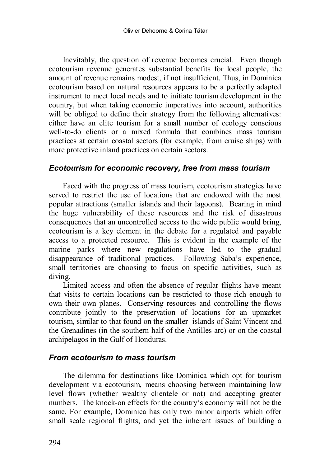Inevitably, the question of revenue becomes crucial. Even though ecotourism revenue generates substantial benefits for local people, the amount of revenue remains modest, if not insufficient. Thus, in Dominica ecotourism based on natural resources appears to be a perfectly adapted instrument to meet local needs and to initiate tourism development in the country, but when taking economic imperatives into account, authorities will be obliged to define their strategy from the following alternatives: either have an elite tourism for a small number of ecology conscious well-to-do clients or a mixed formula that combines mass tourism practices at certain coastal sectors (for example, from cruise ships) with more protective inland practices on certain sectors.

# *Ecotourism for economic recovery, free from mass tourism*

Faced with the progress of mass tourism, ecotourism strategies have served to restrict the use of locations that are endowed with the most popular attractions (smaller islands and their lagoons). Bearing in mind the huge vulnerability of these resources and the risk of disastrous consequences that an uncontrolled access to the wide public would bring, ecotourism is a key element in the debate for a regulated and payable access to a protected resource. This is evident in the example of the marine parks where new regulations have led to the gradual disappearance of traditional practices. Following Saba's experience, small territories are choosing to focus on specific activities, such as diving.

Limited access and often the absence of regular flights have meant that visits to certain locations can be restricted to those rich enough to own their own planes. Conserving resources and controlling the flows contribute jointly to the preservation of locations for an upmarket tourism, similar to that found on the smaller islands of Saint Vincent and the Grenadines (in the southern half of the Antilles arc) or on the coastal archipelagos in the Gulf of Honduras.

### *From ecotourism to mass tourism*

The dilemma for destinations like Dominica which opt for tourism development via ecotourism, means choosing between maintaining low level flows (whether wealthy clientele or not) and accepting greater numbers. The knock-on effects for the country's economy will not be the same. For example, Dominica has only two minor airports which offer small scale regional flights, and yet the inherent issues of building a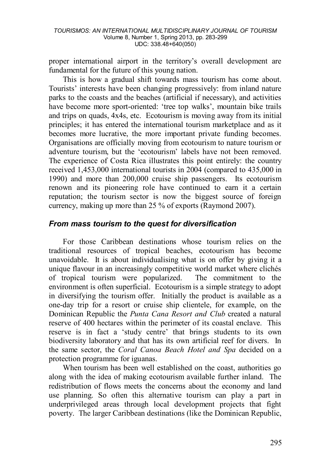proper international airport in the territory's overall development are fundamental for the future of this young nation.

This is how a gradual shift towards mass tourism has come about. Tourists' interests have been changing progressively: from inland nature parks to the coasts and the beaches (artificial if necessary), and activities have become more sport-oriented: 'tree top walks', mountain bike trails and trips on quads, 4x4s, etc. Ecotourism is moving away from its initial principles; it has entered the international tourism marketplace and as it becomes more lucrative, the more important private funding becomes. Organisations are officially moving from ecotourism to nature tourism or adventure tourism, but the 'ecotourism' labels have not been removed. The experience of Costa Rica illustrates this point entirely: the country received 1,453,000 international tourists in 2004 (compared to 435,000 in 1990) and more than 200,000 cruise ship passengers. Its ecotourism renown and its pioneering role have continued to earn it a certain reputation; the tourism sector is now the biggest source of foreign currency, making up more than 25 % of exports (Raymond 2007).

# *From mass tourism to the quest for diversification*

For those Caribbean destinations whose tourism relies on the traditional resources of tropical beaches, ecotourism has become unavoidable. It is about individualising what is on offer by giving it a unique flavour in an increasingly competitive world market where clichés of tropical tourism were popularized. The commitment to the environment is often superficial. Ecotourism is a simple strategy to adopt in diversifying the tourism offer. Initially the product is available as a one-day trip for a resort or cruise ship clientele, for example, on the Dominican Republic the *Punta Cana Resort and Club* created a natural reserve of 400 hectares within the perimeter of its coastal enclave. This reserve is in fact a 'study centre' that brings students to its own biodiversity laboratory and that has its own artificial reef for divers. In the same sector, the *Coral Canoa Beach Hotel and Spa* decided on a protection programme for iguanas.

When tourism has been well established on the coast, authorities go along with the idea of making ecotourism available further inland. The redistribution of flows meets the concerns about the economy and land use planning. So often this alternative tourism can play a part in underprivileged areas through local development projects that fight poverty. The larger Caribbean destinations (like the Dominican Republic,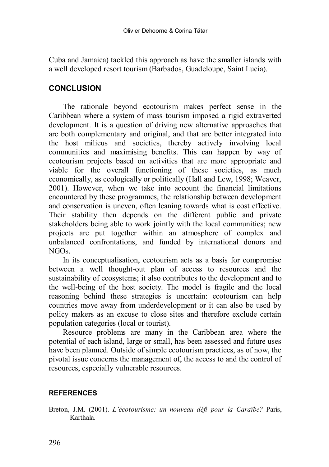Cuba and Jamaica) tackled this approach as have the smaller islands with a well developed resort tourism (Barbados, Guadeloupe, Saint Lucia).

# **CONCLUSION**

The rationale beyond ecotourism makes perfect sense in the Caribbean where a system of mass tourism imposed a rigid extraverted development. It is a question of driving new alternative approaches that are both complementary and original, and that are better integrated into the host milieus and societies, thereby actively involving local communities and maximising benefits. This can happen by way of ecotourism projects based on activities that are more appropriate and viable for the overall functioning of these societies, as much economically, as ecologically or politically (Hall and Lew, 1998; Weaver, 2001). However, when we take into account the financial limitations encountered by these programmes, the relationship between development and conservation is uneven, often leaning towards what is cost effective. Their stability then depends on the different public and private stakeholders being able to work jointly with the local communities; new projects are put together within an atmosphere of complex and unbalanced confrontations, and funded by international donors and NGOs.

In its conceptualisation, ecotourism acts as a basis for compromise between a well thought-out plan of access to resources and the sustainability of ecosystems; it also contributes to the development and to the well-being of the host society. The model is fragile and the local reasoning behind these strategies is uncertain: ecotourism can help countries move away from underdevelopment or it can also be used by policy makers as an excuse to close sites and therefore exclude certain population categories (local or tourist).

Resource problems are many in the Caribbean area where the potential of each island, large or small, has been assessed and future uses have been planned. Outside of simple ecotourism practices, as of now, the pivotal issue concerns the management of, the access to and the control of resources, especially vulnerable resources.

# **REFERENCES**

Breton, J.M. (2001). *L'écotourisme: un nouveau défi pour la Caraïbe?* Paris, Karthala.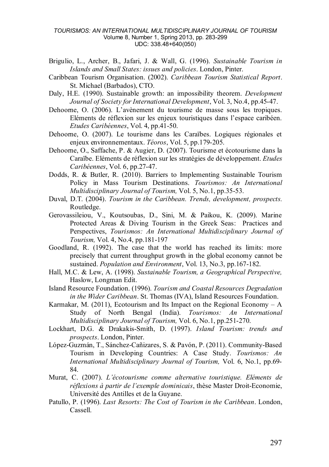- Brigulio, L., Archer, B., Jafari, J. & Wall, G. (1996). *Sustainable Tourism in Islands and Small States: issues and policies*. London, Pinter.
- Caribbean Tourism Organisation. (2002). *Caribbean Tourism Statistical Report*. St. Michael (Barbados), CTO.
- Daly, H.E. (1990). Sustainable growth: an impossibility theorem. *Development Journal of Society for International Development*, Vol. 3, No.4, pp.45-47.
- Dehoorne, O. (2006). L'avènement du tourisme de masse sous les tropiques. Eléments de réflexion sur les enjeux touristiques dans l'espace caribéen. *Etudes Caribéennes*, Vol. 4, pp.41-50.
- Dehoorne, O. (2007). Le tourisme dans les Caraïbes. Logiques régionales et enjeux environnementaux. *Téoros*, Vol. 5, pp.179-205.
- Dehoorne, O., Saffache, P. & Augier, D. (2007). Tourisme et écotourisme dans la Caraïbe. Eléments de réflexion sur les stratégies de développement. *Etudes Caribéennes*, Vol. 6, pp.27-47.
- Dodds, R. & Butler, R. (2010). Barriers to Implementing Sustainable Tourism Policy in Mass Tourism Destinations. *Tourismos: An International Multidisciplinary Journal of Tourism,* Vol. 5, No.1, pp.35-53.
- Duval, D.T. (2004). *Tourism in the Caribbean. Trends, development, prospects.* Routledge.
- Gerovassileiou, V., Koutsoubas, D., Sini, M. & Paikou, K. (2009). Marine Protected Areas & Diving Tourism in the Greek Seas: Practices and Perspectives, *Tourismos: An International Multidisciplinary Journal of Tourism,* Vol. 4, No.4, pp.181-197
- Goodland, R. (1992). The case that the world has reached its limits: more precisely that current throughput growth in the global economy cannot be sustained. *Population and Environment*, Vol. 13, No.3, pp.167-182.
- Hall, M.C. & Lew, A. (1998). *Sustainable Tourism, a Geographical Perspective,*  Haslow, Longman Edit.
- Island Resource Foundation. (1996). *Tourism and Coastal Resources Degradation in the Wider Caribbean*. St. Thomas (IVA), Island Resources Foundation.
- Karmakar, M. (2011), Ecotourism and Its Impact on the Regional Economy  $A$ Study of North Bengal (India). *Tourismos: An International Multidisciplinary Journal of Tourism,* Vol. 6, No.1, pp.251-270.
- Lockhart, D.G. & Drakakis-Smith, D. (1997). *Island Tourism: trends and prospects*. London, Pinter.
- López-Guzmán, T., Sánchez-Cañizares, S. & Pavón, P. (2011). Community-Based Tourism in Developing Countries: A Case Study. *Tourismos: An International Multidisciplinary Journal of Tourism,* Vol. 6, No.1, pp.69- 84.
- Murat, C. (2007). *L'écotourisme comme alternative touristique. Eléments de réflexions à partir de l'exemple dominicais*, thèse Master Droit-Economie, Université des Antilles et de la Guyane.
- Patullo, P. (1996). *Last Resorts: The Cost of Tourism in the Caribbean*. London, Cassell.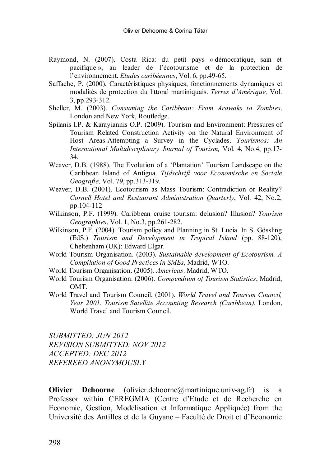- Raymond, N. (2007). Costa Rica: du petit pays « démocratique, sain et pacifique », au leader de l'écotourisme et de la protection de l'environnement. *Etudes caribéennes*, Vol. 6, pp.49-65.
- Saffache, P. (2000). Caractéristiques physiques, fonctionnements dynamiques et modalités de protection du littoral martiniquais. *Terres d'Amérique,* Vol. 3, pp.293-312.
- Sheller, M. (2003). *Consuming the Caribbean: From Arawaks to Zombies*. London and New York, Routledge.
- Spilanis I.P. & Karayiannis O.P. (2009). Tourism and Environment: Pressures of Tourism Related Construction Activity on the Natural Environment of Host Areas-Attempting a Survey in the Cyclades. *Tourismos: An International Multidisciplinary Journal of Tourism,* Vol. 4, No.4, pp.17- 34.
- Weaver, D.B. (1988). The Evolution of a 'Plantation' Tourism Landscape on the Caribbean Island of Antigua. *Tijdschrift voor Economische en Sociale Geografie,* Vol. 79, pp.313-319.
- Weaver, D.B. (2001). Ecotourism as Mass Tourism: Contradiction or Reality? *Cornell Hotel and Restaurant Administration Quarterly*, Vol. 42, No.2, pp.104-112
- Wilkinson, P.F. (1999). Caribbean cruise tourism: delusion? Illusion? *Tourism Geographies*, Vol. 1, No.3, pp.261-282.
- Wilkinson, P.F. (2004). Tourism policy and Planning in St. Lucia. In S. Gössling (EdS.) *Tourism and Development in Tropical Island* (pp. 88-120), Cheltenham (UK): Edward Elgar.
- World Tourism Organisation. (2003). *Sustainable development of Ecotourism. A Compilation of Good Practices in SMEs*, Madrid, WTO.
- World Tourism Organisation. (2005). *Americas*. Madrid, WTO.
- World Tourism Organisation. (2006). *Compendium of Tourism Statistics*, Madrid, OMT.
- World Travel and Tourism Council. (2001). *World Travel and Tourism Council, Year 2001. Tourism Satellite Accounting Research (Caribbean).* London, World Travel and Tourism Council.

*SUBMITTED: JUN 2012 REVISION SUBMITTED: NOV 2012 ACCEPTED: DEC 2012 REFEREED ANONYMOUSLY*

**Olivier Dehoorne** (olivier.dehoorne@martinique.univ-ag.fr) is a Professor within CEREGMIA (Centre d'Etude et de Recherche en Economie, Gestion, Modélisation et Informatique Appliquée) from the Université des Antilles et de la Guyane – Faculté de Droit et d'Economie